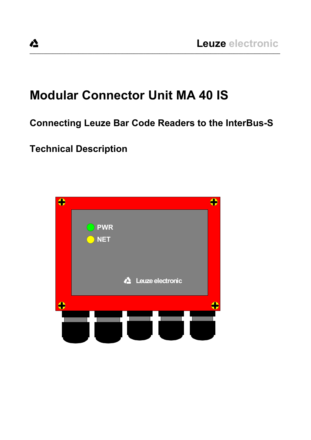# **Modular Connector Unit MA 40 IS**

# **Connecting Leuze Bar Code Readers to the InterBus-S**

**\_\_\_\_\_\_\_\_\_\_\_\_\_\_\_\_\_\_\_\_\_\_\_\_\_\_\_\_\_\_\_\_\_\_\_\_\_\_\_\_\_\_\_\_\_\_\_\_\_\_\_\_\_\_\_\_\_\_\_\_\_\_\_\_\_\_\_\_\_\_\_\_\_\_\_\_\_\_\_\_\_\_\_\_\_\_\_\_\_\_\_\_\_\_\_\_\_\_\_\_\_\_\_\_\_\_\_\_**

# **Technical Description**

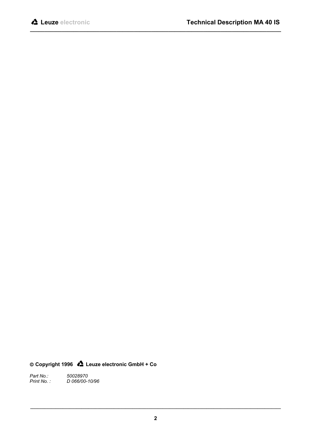**Copyright 1996 Leuze electronic GmbH + Co**

*Part No.:*<br>*Print No. : Print No. : D 066/00-10/96*

**\_\_\_\_\_\_\_\_\_\_\_\_\_\_\_\_\_\_\_\_\_\_\_\_\_\_\_\_\_\_\_\_\_\_\_\_\_\_\_\_\_\_\_\_\_\_\_\_\_\_\_\_\_\_\_\_\_\_\_\_\_\_\_\_\_\_\_\_\_\_\_\_\_\_\_\_\_\_\_\_\_\_\_\_\_\_\_\_\_\_\_\_\_\_\_\_\_\_\_\_\_\_\_\_\_\_\_\_**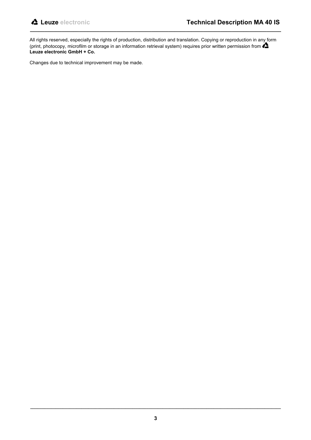All rights reserved, especially the rights of production, distribution and translation. Copying or reproduction in any form (print, photocopy, microfilm or storage in an information retrieval system) requires prior written permission from  $\triangle$ **Leuze electronic GmbH + Co.**

**\_\_\_\_\_\_\_\_\_\_\_\_\_\_\_\_\_\_\_\_\_\_\_\_\_\_\_\_\_\_\_\_\_\_\_\_\_\_\_\_\_\_\_\_\_\_\_\_\_\_\_\_\_\_\_\_\_\_\_\_\_\_\_\_\_\_\_\_\_\_\_\_\_\_\_\_\_\_\_\_\_\_\_\_\_\_\_**

Changes due to technical improvement may be made.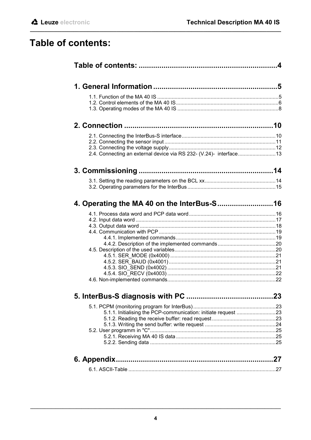# Table of contents:

| 2.4. Connecting an external device via RS 232- (V.24)- interface13 |  |
|--------------------------------------------------------------------|--|
|                                                                    |  |
|                                                                    |  |
|                                                                    |  |
|                                                                    |  |
|                                                                    |  |
|                                                                    |  |
|                                                                    |  |
|                                                                    |  |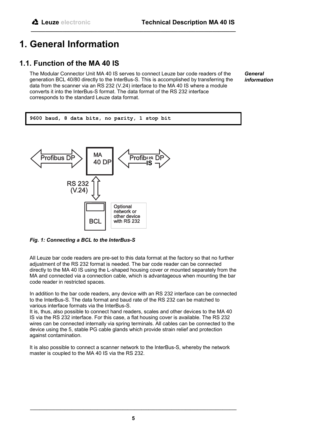# **1. General Information**

## **1.1. Function of the MA 40 IS**

The Modular Connector Unit MA 40 IS serves to connect Leuze bar code readers of the generation BCL 40/80 directly to the InterBus-S. This is accomplished by transferring the data from the scanner via an RS 232 (V.24) interface to the MA 40 IS where a module converts it into the InterBus-S format. The data format of the RS 232 interface corresponds to the standard Leuze data format.

**\_\_\_\_\_\_\_\_\_\_\_\_\_\_\_\_\_\_\_\_\_\_\_\_\_\_\_\_\_\_\_\_\_\_\_\_\_\_\_\_\_\_\_\_\_\_\_\_\_\_\_\_\_\_\_\_\_\_\_\_\_\_\_\_\_\_\_\_\_\_\_**

*General information*

**9600 baud, 8 data bits, no parity, 1 stop bit**



*Fig. 1: Connecting a BCL to the InterBus-S*

All Leuze bar code readers are pre-set to this data format at the factory so that no further adjustment of the RS 232 format is needed. The bar code reader can be connected directly to the MA 40 IS using the L-shaped housing cover or mounted separately from the MA and connected via a connection cable, which is advantageous when mounting the bar code reader in restricted spaces.

In addition to the bar code readers, any device with an RS 232 interface can be connected to the InterBus-S. The data format and baud rate of the RS 232 can be matched to various interface formats via the InterBus-S.

It is, thus, also possible to connect hand readers, scales and other devices to the MA 40 IS via the RS 232 interface. For this case, a flat housing cover is available. The RS 232 wires can be connected internally via spring terminals. All cables can be connected to the device using the 5, stable PG cable glands which provide strain relief and protection against contamination.

It is also possible to connect a scanner network to the InterBus-S, whereby the network master is coupled to the MA 40 IS via the RS 232.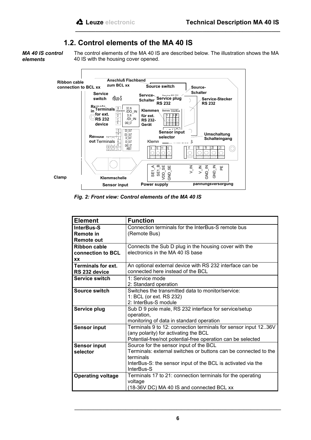## **1.2. Control elements of the MA 40 IS**

*MA 40 IS control elements*

The control elements of the MA 40 IS are described below. The illustration shows the MA 40 IS with the housing cover opened.

**\_\_\_\_\_\_\_\_\_\_\_\_\_\_\_\_\_\_\_\_\_\_\_\_\_\_\_\_\_\_\_\_\_\_\_\_\_\_\_\_\_\_\_\_\_\_\_\_\_\_\_\_\_\_\_\_\_\_\_\_\_\_\_\_\_\_\_\_\_\_\_**



*Fig. 2: Front view: Control elements of the MA 40 IS*

| <b>Element</b>            | <b>Function</b>                                                 |
|---------------------------|-----------------------------------------------------------------|
| <b>InterBus-S</b>         | Connection terminals for the InterBus-S remote bus              |
| <b>Remote in</b>          | (Remote Bus)                                                    |
| <b>Remote out</b>         |                                                                 |
| <b>Ribbon cable</b>       | Connects the Sub D plug in the housing cover with the           |
| connection to BCL         | electronics in the MA 40 IS base                                |
| <b>XX</b>                 |                                                                 |
| <b>Terminals for ext.</b> | An optional external device with RS 232 interface can be        |
| RS 232 device             | connected here instead of the BCL                               |
| Service switch            | 1: Service mode                                                 |
|                           | 2: Standard operation                                           |
| Source switch             | Switches the transmitted data to monitor/service:               |
|                           | 1: BCL (or ext. RS 232)                                         |
|                           | 2: InterBus-S module                                            |
| Service plug              | Sub D 9 pole male, RS 232 interface for service/setup           |
|                           | operation,                                                      |
|                           | monitoring of data in standard operation                        |
| <b>Sensor input</b>       | Terminals 9 to 12: connection terminals for sensor input 1236V  |
|                           | (any polarity) for activating the BCL                           |
|                           | Potential-free/not potential-free operation can be selected     |
| <b>Sensor input</b>       | Source for the sensor input of the BCL                          |
| selector                  | Terminals: external switches or buttons can be connected to the |
|                           | terminals                                                       |
|                           | InterBus-S: the sensor input of the BCL is activated via the    |
|                           | InterBus-S                                                      |
| <b>Operating voltage</b>  | Terminals 17 to 21: connection terminals for the operating      |
|                           | voltage                                                         |
|                           | (18-36V DC) MA 40 IS and connected BCL xx                       |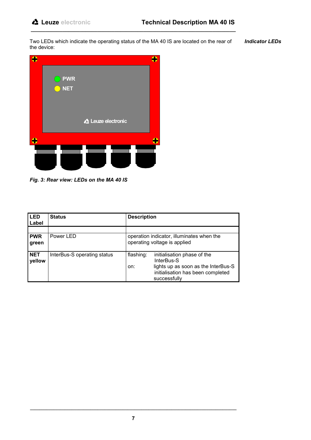Two LEDs which indicate the operating status of the MA 40 IS are located on the rear of the device: *Indicator LEDs*

**\_\_\_\_\_\_\_\_\_\_\_\_\_\_\_\_\_\_\_\_\_\_\_\_\_\_\_\_\_\_\_\_\_\_\_\_\_\_\_\_\_\_\_\_\_\_\_\_\_\_\_\_\_\_\_\_\_\_\_\_\_\_\_\_\_\_\_\_\_\_\_**



*Fig. 3: Rear view: LEDs on the MA 40 IS*

| l LED<br>Label       | <b>Status</b>               | <b>Description</b>                                                                              |
|----------------------|-----------------------------|-------------------------------------------------------------------------------------------------|
|                      |                             |                                                                                                 |
| <b>PWR</b>           | Power LED                   | operation indicator, illuminates when the                                                       |
| green                |                             | operating voltage is applied                                                                    |
| <b>NET</b><br>yellow | InterBus-S operating status | flashing:<br>initialisation phase of the<br>InterBus-S                                          |
|                      |                             | lights up as soon as the InterBus-S<br>on:<br>initialisation has been completed<br>successfully |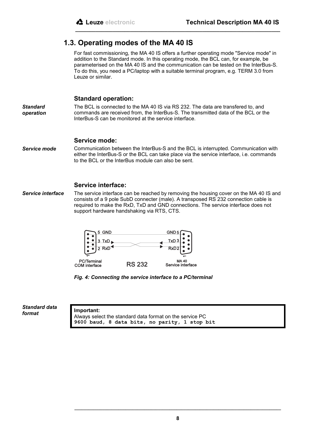## **1.3. Operating modes of the MA 40 IS**

For fast commissioning, the MA 40 IS offers a further operating mode "Service mode" in addition to the Standard mode. In this operating mode, the BCL can, for example, be parameterised on the MA 40 IS and the communication can be tested on the InterBus-S. To do this, you need a PC/laptop with a suitable terminal program, e.g. TERM 3.0 from Leuze or similar.

**\_\_\_\_\_\_\_\_\_\_\_\_\_\_\_\_\_\_\_\_\_\_\_\_\_\_\_\_\_\_\_\_\_\_\_\_\_\_\_\_\_\_\_\_\_\_\_\_\_\_\_\_\_\_\_\_\_\_\_\_\_\_\_\_\_\_\_\_\_\_\_**

#### **Standard operation:**

*Standard operation* The BCL is connected to the MA 40 IS via RS 232. The data are transfered to, and commands are received from, the InterBus-S. The transmitted data of the BCL or the InterBus-S can be monitored at the service interface.

#### **Service mode:**

Communication between the InterBus-S and the BCL is interrupted. Communication with either the InterBus-S or the BCL can take place via the service interface, i.e. commands to the BCL or the InterBus module can also be sent. *Service mode*

#### **Service interface:**

The service interface can be reached by removing the housing cover on the MA 40 IS and consists of a 9 pole SubD connecter (male). A transposed RS 232 connection cable is required to make the RxD, TxD and GND connections. The service interface does not support hardware handshaking via RTS, CTS. *Service interface*



*Fig. 4: Connecting the service interface to a PC/terminal*

*Standard data format*

**Important:** Always select the standard data format on the service PC **9600 baud, 8 data bits, no parity, 1 stop bit**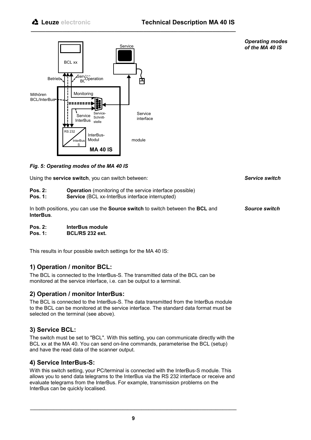

*Fig. 5: Operating modes of the MA 40 IS*

Using the **service switch**, you can switch between:

- **Pos. 2: Operation** (monitoring of the service interface possible)
- **Pos. 1:** Service *(BCL xx-InterBus interface interrupted)*

In both positions, you can use the **Source switch** to switch between the **BCL** and **InterBus**.

**\_\_\_\_\_\_\_\_\_\_\_\_\_\_\_\_\_\_\_\_\_\_\_\_\_\_\_\_\_\_\_\_\_\_\_\_\_\_\_\_\_\_\_\_\_\_\_\_\_\_\_\_\_\_\_\_\_\_\_\_\_\_\_\_\_\_\_\_\_\_\_**

- **Pos. 2: InterBus module**
- **Pos. 1: BCL/RS 232 ext.**

This results in four possible switch settings for the MA 40 IS:

## **1) Operation / monitor BCL:**

The BCL is connected to the InterBus-S. The transmitted data of the BCL can be monitored at the service interface, i.e. can be output to a terminal.

## **2) Operation / monitor InterBus:**

The BCL is connected to the InterBus-S. The data transmitted from the InterBus module to the BCL can be monitored at the service interface. The standard data format must be selected on the terminal (see above).

## **3) Service BCL:**

The switch must be set to "BCL". With this setting, you can communicate directly with the BCL xx at the MA 40. You can send on-line commands, parameterise the BCL (setup) and have the read data of the scanner output.

## **4) Service InterBus-S:**

With this switch setting, your PC/terminal is connected with the InterBus-S module. This allows you to send data telegrams to the InterBus via the RS 232 interface or receive and evaluate telegrams from the InterBus. For example, transmission problems on the InterBus can be quickly localised.

*Source switch*

*Operating modes of the MA 40 IS*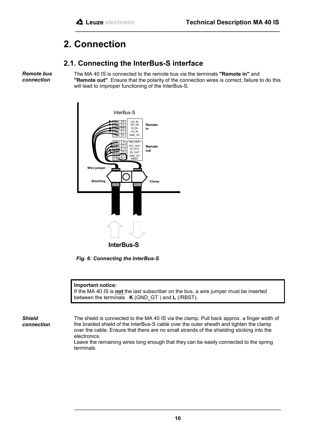# **2. Connection**

## **2.1. Connecting the InterBus-S interface**

*Remote bus connection*

The MA 40 IS is connected to the remote bus via the terminals **"Remote in"** and **"Remote out"**. Ensure that the polarity of the connection wires is correct; failure to do this will lead to improper functioning of the InterBus-S.

**\_\_\_\_\_\_\_\_\_\_\_\_\_\_\_\_\_\_\_\_\_\_\_\_\_\_\_\_\_\_\_\_\_\_\_\_\_\_\_\_\_\_\_\_\_\_\_\_\_\_\_\_\_\_\_\_\_\_\_\_\_\_\_\_\_\_\_\_\_\_\_**



*Fig. 6: Connecting the InterBus-S*

#### **Important notice:**

If the MA 40 IS is **not** the last subscriber on the bus, a wire jumper must be inserted between the terminals **K** (GND\_GT ) and **L** (/RBST).

*Shield connection* The shield is connected to the MA 40 IS via the clamp. Pull back approx. a finger width of the braided shield of the InterBus-S cable over the outer sheath and tighten the clamp over the cable. Ensure that there are no small strands of the shielding sticking into the electronics.

Leave the remaining wires long enough that they can be easily connected to the spring terminals.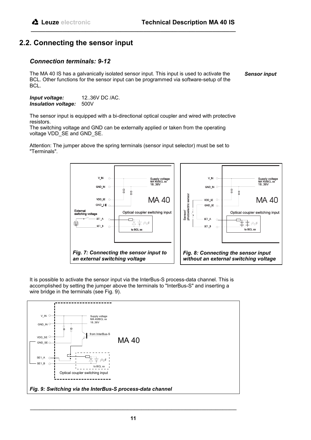## **2.2. Connecting the sensor input**

## *Connection terminals: 9-12*

The MA 40 IS has a galvanically isolated sensor input. This input is used to activate the BCL. Other functions for the sensor input can be programmed via software-setup of the BCL. *Sensor input*

*Input voltage:* 12..36V DC /AC. *Insulation voltage:* 500V

The sensor input is equipped with a bi-directional optical coupler and wired with protective resistors.

**\_\_\_\_\_\_\_\_\_\_\_\_\_\_\_\_\_\_\_\_\_\_\_\_\_\_\_\_\_\_\_\_\_\_\_\_\_\_\_\_\_\_\_\_\_\_\_\_\_\_\_\_\_\_\_\_\_\_\_\_\_\_\_\_\_\_\_\_\_\_\_**

The switching voltage and GND can be externally applied or taken from the operating voltage VDD\_SE and GND\_SE.

Attention: The jumper above the spring terminals (sensor input selector) must be set to "Terminals".



It is possible to activate the sensor input via the InterBus-S process-data channel. This is accomplished by setting the jumper above the terminals to "InterBus-S" and inserting a wire bridge in the terminals (see Fig. 9).

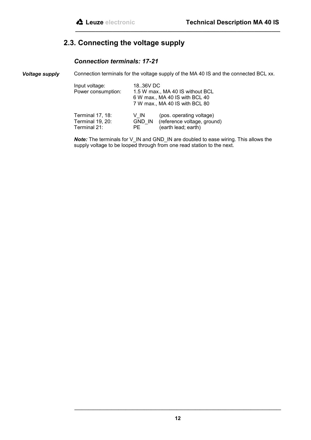## **2.3. Connecting the voltage supply**

## *Connection terminals: 17-21*

Connection terminals for the voltage supply of the MA 40 IS and the connected BCL xx. *Voltage supply*

| Input voltage:<br>Power consumption:                 | 18.36V DC  | 1.5 W max., MA 40 IS without BCL<br>6 W max., MA 40 IS with BCL 40<br>7 W max., MA 40 IS with BCL 80 |
|------------------------------------------------------|------------|------------------------------------------------------------------------------------------------------|
| Terminal 17, 18:<br>Terminal 19, 20:<br>Terminal 21: | V IN<br>PF | (pos. operating voltage)<br>GND IN (reference voltage, ground)<br>(earth lead; earth)                |

*Note:* The terminals for V\_IN and GND\_IN are doubled to ease wiring. This allows the supply voltage to be looped through from one read station to the next.

**\_\_\_\_\_\_\_\_\_\_\_\_\_\_\_\_\_\_\_\_\_\_\_\_\_\_\_\_\_\_\_\_\_\_\_\_\_\_\_\_\_\_\_\_\_\_\_\_\_\_\_\_\_\_\_\_\_\_\_\_\_\_\_\_\_\_\_\_\_\_\_**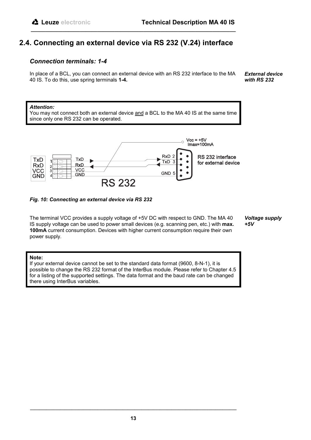## **2.4. Connecting an external device via RS 232 (V.24) interface**

**\_\_\_\_\_\_\_\_\_\_\_\_\_\_\_\_\_\_\_\_\_\_\_\_\_\_\_\_\_\_\_\_\_\_\_\_\_\_\_\_\_\_\_\_\_\_\_\_\_\_\_\_\_\_\_\_\_\_\_\_\_\_\_\_\_\_\_\_\_\_\_**

## *Connection terminals: 1-4*

In place of a BCL, you can connect an external device with an RS 232 interface to the MA 40 IS. To do this, use spring terminals **1-4.**

*External device with RS 232*

#### *Attention:*

You may not connect both an external device and a BCL to the MA 40 IS at the same time since only one RS 232 can be operated.



#### *Fig. 10: Connecting an external device via RS 232*

The terminal VCC provides a supply voltage of +5V DC with respect to GND. The MA 40 IS supply voltage can be used to power small devices (e.g. scanning pen, etc.) with **max. 100mA** current consumption. Devices with higher current consumption require their own power supply.

*Voltage supply +5V*

#### **Note:**

If your external device cannot be set to the standard data format (9600, 8-N-1), it is possible to change the RS 232 format of the InterBus module. Please refer to Chapter 4.5 for a listing of the supported settings. The data format and the baud rate can be changed there using InterBus variables.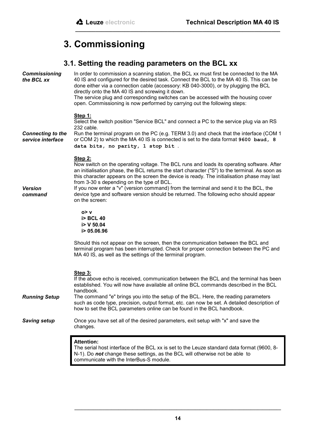# **3. Commissioning**

## **3.1. Setting the reading parameters on the BCL xx**

**\_\_\_\_\_\_\_\_\_\_\_\_\_\_\_\_\_\_\_\_\_\_\_\_\_\_\_\_\_\_\_\_\_\_\_\_\_\_\_\_\_\_\_\_\_\_\_\_\_\_\_\_\_\_\_\_\_\_\_\_\_\_\_\_\_\_\_\_\_\_\_**

| <b>Commissioning</b><br>the BCL xx            | In order to commission a scanning station, the BCL xx must first be connected to the MA<br>40 IS and configured for the desired task. Connect the BCL to the MA 40 IS. This can be<br>done either via a connection cable (accessory: KB 040-3000), or by plugging the BCL<br>directly onto the MA 40 IS and screwing it down.<br>The service plug and corresponding switches can be accessed with the housing cover<br>open. Commissioning is now performed by carrying out the following steps:                                                               |
|-----------------------------------------------|----------------------------------------------------------------------------------------------------------------------------------------------------------------------------------------------------------------------------------------------------------------------------------------------------------------------------------------------------------------------------------------------------------------------------------------------------------------------------------------------------------------------------------------------------------------|
| <b>Connecting to the</b><br>service interface | Step 1:<br>Select the switch position "Service BCL" and connect a PC to the service plug via an RS<br>232 cable.<br>Run the terminal program on the PC (e.g. TERM 3.0) and check that the interface (COM 1<br>or COM 2) to which the MA 40 IS is connected is set to the data format 9600 baud, 8<br>data bits, no parity, 1 stop bit.                                                                                                                                                                                                                         |
| <b>Version</b><br>command                     | <b>Step 2:</b><br>Now switch on the operating voltage. The BCL runs and loads its operating software. After<br>an initialisation phase, the BCL returns the start character ("S") to the terminal. As soon as<br>this character appears on the screen the device is ready. The initialisation phase may last<br>from 3-30 s depending on the type of BCL.<br>If you now enter a "v" (version command) from the terminal and send it to the BCL, the<br>device type and software version should be returned. The following echo should appear<br>on the screen: |
|                                               | 0> v<br><b>i&gt; BCL 40</b><br>i > V 50.04<br>i> 05.06.96                                                                                                                                                                                                                                                                                                                                                                                                                                                                                                      |
|                                               | Should this not appear on the screen, then the communication between the BCL and<br>terminal program has been interrupted. Check for proper connection between the PC and<br>MA 40 IS, as well as the settings of the terminal program.                                                                                                                                                                                                                                                                                                                        |
|                                               | Step 3:<br>If the above echo is received, communication between the BCL and the terminal has been<br>established. You will now have available all online BCL commands described in the BCL<br>handbook.                                                                                                                                                                                                                                                                                                                                                        |
| <b>Running Setup</b>                          | The command "e" brings you into the setup of the BCL. Here, the reading parameters<br>such as code type, precision, output format, etc. can now be set. A detailed description of<br>how to set the BCL parameters online can be found in the BCL handbook.                                                                                                                                                                                                                                                                                                    |
| <b>Saving setup</b>                           | Once you have set all of the desired parameters, exit setup with "x" and save the<br>changes.                                                                                                                                                                                                                                                                                                                                                                                                                                                                  |
|                                               | <b>Attention:</b><br>The serial host interface of the BCL xx is set to the Leuze standard data format (9600, 8-<br>N-1). Do not change these settings, as the BCL will otherwise not be able to<br>communicate with the InterBus-S module.                                                                                                                                                                                                                                                                                                                     |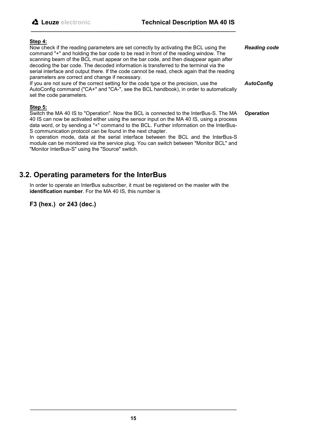#### **Step 4:**

Now check if the reading parameters are set correctly by activating the BCL using the command "+" and holding the bar code to be read in front of the reading window. The scanning beam of the BCL must appear on the bar code, and then disappear again after decoding the bar code. The decoded information is transferred to the terminal via the serial interface and output there. If the code cannot be read, check again that the reading parameters are correct and change if necessary. If you are not sure of the correct setting for the code type or the precision, use the *Reading code AutoConfig*

AutoConfig command ("CA+" and "CA-", see the BCL handbook), in order to automatically set the code parameters.

**\_\_\_\_\_\_\_\_\_\_\_\_\_\_\_\_\_\_\_\_\_\_\_\_\_\_\_\_\_\_\_\_\_\_\_\_\_\_\_\_\_\_\_\_\_\_\_\_\_\_\_\_\_\_\_\_\_\_\_\_\_\_\_\_\_\_\_\_\_\_\_**

#### **Step 5:**

Switch the MA 40 IS to "Operation". Now the BCL is connected to the InterBus-S. The MA 40 IS can now be activated either using the sensor input on the MA 40 IS, using a process data word, or by sending a "+" command to the BCL. Further information on the InterBus-S communication protocol can be found in the next chapter. *Operation*

In operation mode, data at the serial interface between the BCL and the InterBus-S module can be monitored via the service plug. You can switch between "Monitor BCL" and "Monitor InterBus-S" using the "Source" switch.

## **3.2. Operating parameters for the InterBus**

In order to operate an InterBus subscriber, it must be registered on the master with the **identification number**. For the MA 40 IS, this number is

## **F3 (hex.) or 243 (dec.)**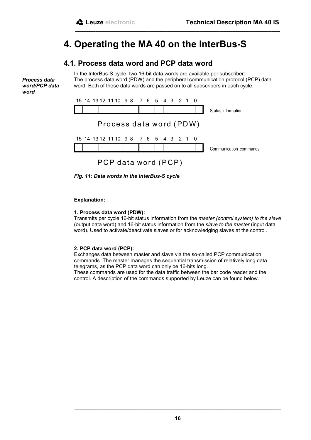# **4. Operating the MA 40 on the InterBus-S**

## **4.1. Process data word and PCP data word**

*Process data word/PCP data word*

In the InterBus-S cycle, two 16-bit data words are available per subscriber: The process data word (PDW) and the peripheral communication protocol (PCP) data word. Both of these data words are passed on to all subscribers in each cycle.

**\_\_\_\_\_\_\_\_\_\_\_\_\_\_\_\_\_\_\_\_\_\_\_\_\_\_\_\_\_\_\_\_\_\_\_\_\_\_\_\_\_\_\_\_\_\_\_\_\_\_\_\_\_\_\_\_\_\_\_\_\_\_\_\_\_\_\_\_\_\_\_**



*Fig. 11: Data words in the InterBus-S cycle*

#### **Explanation:**

#### **1. Process data word (PDW):**

Transmits per cycle 16-bit status information from the *master (control system) to the slave* (output data word) and 16-bit status information from the *slave to the master* (input data word). Used to activate/deactivate slaves or for acknowledging slaves at the control.

#### **2. PCP data word (PCP):**

Exchanges data between master and slave via the so-called PCP communication commands. The master manages the sequential transmission of relatively long data telegrams, as the PCP data word can only be 16-bits long.

These commands are used for the data traffic between the bar code reader and the control. A description of the commands supported by Leuze can be found below.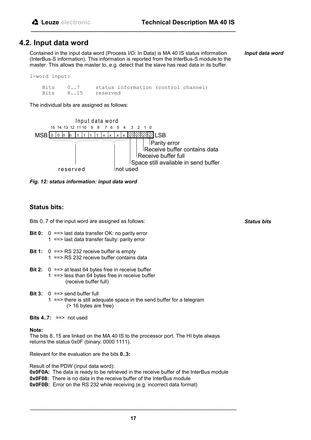## **4.2. Input data word**

Contained in the input data word (Process I/O: In Data) is MA 40 IS status information (InterBus-S information). This information is reported from the InterBus-S module to the master. This allows the master to, e.g. detect that the slave has read data in its buffer.

**\_\_\_\_\_\_\_\_\_\_\_\_\_\_\_\_\_\_\_\_\_\_\_\_\_\_\_\_\_\_\_\_\_\_\_\_\_\_\_\_\_\_\_\_\_\_\_\_\_\_\_\_\_\_\_\_\_\_\_\_\_\_\_\_\_\_\_\_\_\_\_**

*Input data word*

1-word input:

Bits 0..7 status information (control channel)<br>Bits 8..15 reserved reserved

The individual bits are assigned as follows:



*Fig. 12: status information: input data word*

## **Status bits:**

Bits 0..7 of the input word are assigned as follows:

- **Bit 0:** 0 = = > last data transfer OK: no parity error 1 ==> last data transfer faulty: parity error
- **Bit 1:** 0 = = > RS 232 receive buffer is empty 1 ==> RS 232 receive buffer contains data
- **Bit 2:** 0 ==> at least 64 bytes free in receive buffer 1 ==> less than 64 bytes free in receive buffer (receive buffer full)
- **Bit 3:** 0 ==> send buffer full 1 ==> there is still adequate space in the send buffer for a telegram (> 16 bytes are free)

**Note:**

The bits 8..15 are linked on the MA 40 IS to the processor port. The HI byte always returns the status 0x0F (binary: 0000 1111).

Relevant for the evaluation are the bits **0..3:**

Result of the PDW (input data word): **0x0F0A:** The data is ready to be retrieved in the receive buffer of the InterBus module **0x0F08:** There is no data in the receive buffer of the InterBus module **0x0F0B:** Error on the RS 232 while receiving (e.g. incorrect data format)

*Status bits*

**Bits 4..7:** ==> not used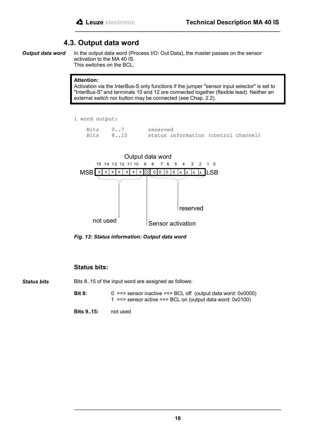## **4.3. Output data word**

*Output data word*

In the output data word (Process I/O: Out Data), the master passes on the sensor activation to the MA 40 IS. This switches on the BCL.

**\_\_\_\_\_\_\_\_\_\_\_\_\_\_\_\_\_\_\_\_\_\_\_\_\_\_\_\_\_\_\_\_\_\_\_\_\_\_\_\_\_\_\_\_\_\_\_\_\_\_\_\_\_\_\_\_\_\_\_\_\_\_\_\_\_\_\_\_\_\_\_**

#### **Attention:**

Activation via the InterBus-S only functions if the jumper "sensor input selector" is set to "InterBus-S" and terminals 10 and 12 are connected together (flexible lead). Neither an external switch nor button may be connected (see Chap. 2.2).

1 word output:

| Bits 07  | reserved                             |
|----------|--------------------------------------|
| Bits 815 | status information (control channel) |



*Fig. 13: Status information: Output data word*

### **Status bits:**

Bits 8..15 of the input word are assigned as follows: *Status bits*

> **Bit 8:** 0 = > sensor inactive = > BCL off (output data word: 0x0000) 1 ==> sensor active ==> BCL on (output data word: 0x0100)

**Bits 9..15:** not used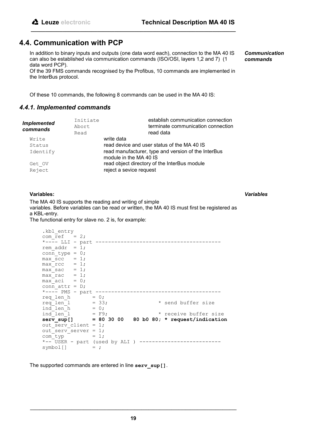## **4.4. Communication with PCP**

In addition to binary inputs and outputs (one data word each), connection to the MA 40 IS can also be established via communication commands (ISO/OSI, layers 1,2 and 7) (1 data word PCP).

**\_\_\_\_\_\_\_\_\_\_\_\_\_\_\_\_\_\_\_\_\_\_\_\_\_\_\_\_\_\_\_\_\_\_\_\_\_\_\_\_\_\_\_\_\_\_\_\_\_\_\_\_\_\_\_\_\_\_\_\_\_\_\_\_\_\_\_\_\_\_\_**

Of the 39 FMS commands recognised by the Profibus, 10 commands are implemented in the InterBus protocol.

Of these 10 commands, the following 8 commands can be used in the MA 40 IS:

#### *4.4.1. Implemented commands*

| <b>Implemented</b><br>commands | Initiate<br>Abort<br>Read | establish communication connection<br>terminate communication connection<br>read data |
|--------------------------------|---------------------------|---------------------------------------------------------------------------------------|
| Write                          |                           | write data                                                                            |
| Status                         |                           | read device and user status of the MA 40 IS                                           |
| Identify                       |                           | read manufacturer, type and version of the InterBus<br>module in the MA 40 IS         |
| Get OV                         |                           | read object directory of the InterBus module                                          |
| Reject                         |                           | reject a sevice request                                                               |

#### **Variables:**

*Variables*

*Communication commands*

The MA 40 IS supports the reading and writing of simple variables. Before variables can be read or written, the MA 40 IS must first be registered as a KBL-entry. The functional entry for slave no. 2 is, for example:

.kbl entry com  $\text{ref}$  = 2; \*---- LLI - part --------------------------------------- rem addr =  $1;$  $conn_type = 0;$  $max\_sec = 1;$ max  $rcc = 1;$  $max$  sac = 1;  $maxrac{1}{\text{max}}$  = 1;  $max$ aci = 0;  $conn\_attr = D;$  \*---- PMS - part --------------------------------------- req len  $h = 0;$ req len  $1 = 33;$  \* send buffer size ind len  $h = 0;$  ind\_len\_l = F9; \* receive buffer size  **serv\_sup[] = 80 30 00 80 b0 80; \* request/indication** out serv client = 1; out serv server = 1;  $com^{\dagger}yp = 1;$ \*--<sup>-</sup>USER - part (used by ALI ) ------------------------- $symbol[$   $]$  = ;

The supported commands are entered in line **serv\_sup[]**.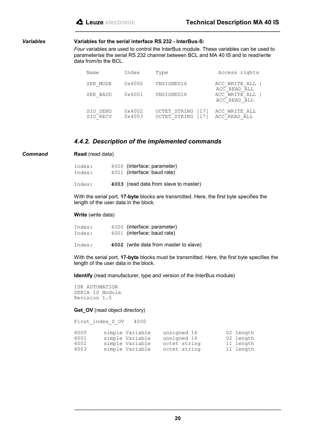#### *Variables*

#### **Variables for the serial interface RS 232 - InterBus-S:**

*Four* variables are used to control the InterBus module. These variables can be used to parameterise the serial RS 232 channel between BCL and MA 40 IS and to read/write data from/to the BCL.

**\_\_\_\_\_\_\_\_\_\_\_\_\_\_\_\_\_\_\_\_\_\_\_\_\_\_\_\_\_\_\_\_\_\_\_\_\_\_\_\_\_\_\_\_\_\_\_\_\_\_\_\_\_\_\_\_\_\_\_\_\_\_\_\_\_\_\_\_\_\_\_**

| Name                 | Index            | Type                                        | Access rights                 |
|----------------------|------------------|---------------------------------------------|-------------------------------|
| SER MODE             | $0 \times 4000$  | UNSIGNED16                                  | ACC WRITE ALL<br>ACC READ ALL |
| SER BAUD             | 0x4001           | UNSIGNED16                                  | ACC WRITE ALL<br>ACC READ ALL |
| SIO SEND<br>SIO RECV | 0x4002<br>0x4003 | OCTET STRING<br>[17]<br>OCTET STRING<br>171 | ACC WRITE ALL<br>ACC READ ALL |

#### *4.4.2. Description of the implemented commands*

*Command*

#### **Read** (read data)

| Index: | 4000 (interface: parameter) |
|--------|-----------------------------|
| Index: | 4001 (interface: baud rate) |
|        |                             |

Index: **4003** (read data from slave to master)

With the serial port, **17-byte** blocks are transmitted. Here, the first byte specifies the length of the user data in the block.

#### **Write** (write data)

| Index: | 4000 (interface: parameter)            |
|--------|----------------------------------------|
| Index: | 4001 (interface: baud rate)            |
| Index: | 4002 (write data from master to slave) |

With the serial port, **17-byte** blocks must be transmitted. Here, the first byte specifies the length of the user data in the block.

**Identify** (read manufacturer, type and version of the InterBus module)

ISK AUTOMATION SERIA ID Module Revision 1.5

#### **Get\_OV** (read object directory)

```
First index S OV 4000
4000 simple Variable unsigned 16 02 length
4001 simple Variable unsigned 16 02 length
4002 simple Variable octet string 11 length
4003 simple Variable octet string 11 length
```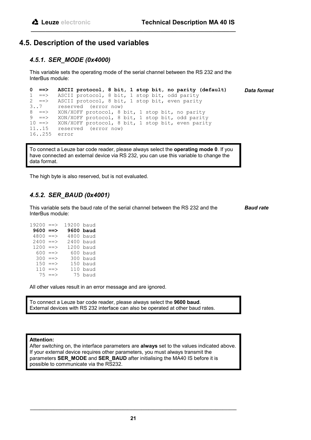## **4.5. Description of the used variables**

## *4.5.1. SER\_MODE (0x4000)*

This variable sets the operating mode of the serial channel between the RS 232 and the InterBus module:

**\_\_\_\_\_\_\_\_\_\_\_\_\_\_\_\_\_\_\_\_\_\_\_\_\_\_\_\_\_\_\_\_\_\_\_\_\_\_\_\_\_\_\_\_\_\_\_\_\_\_\_\_\_\_\_\_\_\_\_\_\_\_\_\_\_\_\_\_\_\_\_**

```
0 ==> ASCII protocol, 8 bit, 1 stop bit, no parity (default)
1 ==> ASCII protocol, 8 bit, 1 stop bit, odd parity<br>2 ==> ASCII protocol, 8 bit, 1 stop bit, even parity
           ASCII protocol, 8 bit, 1 stop bit, even parity
3..7 reserved (error now)<br>8 ==> XON/XOFF protocol, 8
8 ==> XON/XOFF protocol, 8 bit, 1 stop bit, no parity<br>9 ==> XON/XOFF protocol, 8 bit, 1 stop bit, odd parity
9 ==> XON/XOFF protocol, 8 bit, 1 stop bit, odd parity
10 ==> XON/XOFF protocol, 8 bit, 1 stop bit, even parity
11..15 reserved (error now)
16..255 error
                                                                                         Data format
```
To connect a Leuze bar code reader, please always select the **operating mode 0**. If you have connected an external device via RS 232, you can use this variable to change the data format.

The high byte is also reserved, but is not evaluated.

## *4.5.2. SER\_BAUD (0x4001)*

This variable sets the baud rate of the serial channel between the RS 232 and the InterBus module:

*Baud rate*

| 19200     | $\Rightarrow$ | 19200 baud |           |
|-----------|---------------|------------|-----------|
| $9600 ==$ |               |            | 9600 baud |
| 4800      | $\Rightarrow$ |            | 4800 baud |
| 2400      | $\Rightarrow$ |            | 2400 baud |
| 1200      | $\Rightarrow$ |            | 1200 baud |
| 600       | $\Rightarrow$ |            | 600 baud  |
| 300       | $\Rightarrow$ |            | 300 baud  |
| 150       | $\Rightarrow$ |            | 150 baud  |
| 110       | $\Rightarrow$ |            | 110 baud  |
|           | $75 == >$     |            | 75 baud   |

All other values result in an error message and are ignored.

To connect a Leuze bar code reader, please always select the **9600 baud**. External devices with RS 232 interface can also be operated at other baud rates.

#### **Attention:**

After switching on, the interface parameters are **always** set to the values indicated above. If your external device requires other parameters, you must always transmit the parameters **SER\_MODE** and **SER\_BAUD** after initialising the MA40 IS before it is possible to communicate via the RS232.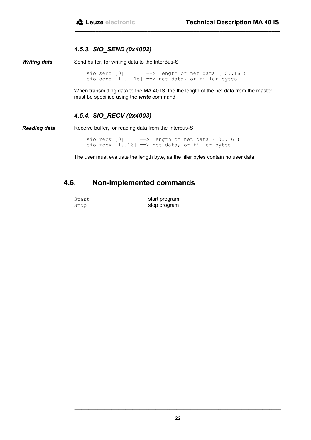## *4.5.3. SIO\_SEND (0x4002)*

Send buffer, for writing data to the InterBus-S *Writing data*

> sio send  $[0]$  ==> length of net data (  $0..16$  ) sio send  $[1$  .. 16] ==> net data, or filler bytes

When transmitting data to the MA 40 IS, the the length of the net data from the master must be specified using the *write* command.

**\_\_\_\_\_\_\_\_\_\_\_\_\_\_\_\_\_\_\_\_\_\_\_\_\_\_\_\_\_\_\_\_\_\_\_\_\_\_\_\_\_\_\_\_\_\_\_\_\_\_\_\_\_\_\_\_\_\_\_\_\_\_\_\_\_\_\_\_\_\_\_**

## *4.5.4. SIO\_RECV (0x4003)*

*Reading data*

Receive buffer, for reading data from the Interbus-S

sio recv  $[0]$  ==> length of net data (  $0..16$  )  $sio$  recv  $[1..16]$  ==> net data, or filler bytes

The user must evaluate the length byte, as the filler bytes contain no user data!

## **4.6. Non-implemented commands**

| Start | start program |
|-------|---------------|
| Stop  | stop program  |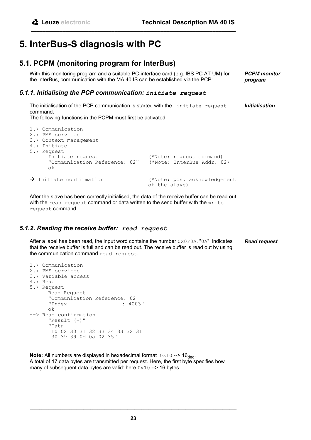## **5. InterBus-S diagnosis with PC**

## **5.1. PCPM (monitoring program for InterBus)**

With this monitoring program and a suitable PC-interface card (e.g. IBS PC AT UM) for the InterBus, communication with the MA 40 IS can be established via the PCP: *PCPM monitor program*

## *5.1.1. Initialising the PCP communication: initiate request*

The initialisation of the PCP communication is started with the initiate request command. *Initialisation*

The following functions in the PCPM must first be activated:

| 1.) Communication<br>2.) PMS services<br>3.) Context management<br>4.) Initiate<br>5.) Request<br>Initiate request<br>ok | (*Note: request command)<br>"Communication Reference: 02" (*Note: InterBus Addr. 02) |
|--------------------------------------------------------------------------------------------------------------------------|--------------------------------------------------------------------------------------|
| $\rightarrow$ Initiate confirmation                                                                                      | (*Note: pos. acknowledgement<br>of the slave)                                        |

**\_\_\_\_\_\_\_\_\_\_\_\_\_\_\_\_\_\_\_\_\_\_\_\_\_\_\_\_\_\_\_\_\_\_\_\_\_\_\_\_\_\_\_\_\_\_\_\_\_\_\_\_\_\_\_\_\_\_\_\_\_\_\_\_\_\_\_\_\_\_\_**

After the slave has been correctly initialised, the data of the receive buffer can be read out with the read request command or data written to the send buffer with the write request command.

### *5.1.2. Reading the receive buffer: read request*

After a label has been read, the input word contains the number  $0 \times 0$  FOA. "0A" indicates that the receive buffer is full and can be read out. The receive buffer is read out by using the communication command read request. *Read request*

```
1.) Communication
2.) PMS services
3.) Variable access
4.) Read
5.) Request
     Read Request
     "Communication Reference: 02
                             : 4003"ok
--> Read confirmation
      "Result (+)"
      "Data
        10 02 30 31 32 33 34 33 32 31
        30 39 39 0d 0a 02 35"
```
**Note:** All numbers are displayed in hexadecimal format  $0 \times 10$  -->  $16_{\text{dec}}$ . A total of 17 data bytes are transmitted per request. Here, the first byte specifies how many of subsequent data bytes are valid: here  $0 \times 10$  --> 16 bytes.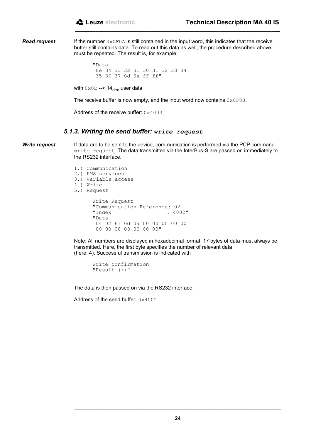*Read request*

If the number  $0 \times 0$  FOA is still contained in the input word, this indicates that the receive butter still contains data. To read out this data as well, the procedure described above must be repeated. The result is, for example:

**\_\_\_\_\_\_\_\_\_\_\_\_\_\_\_\_\_\_\_\_\_\_\_\_\_\_\_\_\_\_\_\_\_\_\_\_\_\_\_\_\_\_\_\_\_\_\_\_\_\_\_\_\_\_\_\_\_\_\_\_\_\_\_\_\_\_\_\_\_\_\_**

"Data 0e 34 33 32 31 30 31 32 33 34 35 36 37 0d 0a ff ff"

with  $0 \times 0$ E --> 14 $_{\text{dec}}$  user data

The receive buffer is now empty, and the input word now contains  $0 \times 0<sup>F08</sup>$ .

Address of the receive buffer: 0x4003

#### *5.1.3. Writing the send buffer: write request*

*Write request*

If data are to be sent to the device, communication is performed via the PCP command write request. The data transmitted via the InterBus-S are passed on immediately to the RS232 interface.

1.) Communication 2.) PMS services 3.) Variable access 4.) Write 5.) Request Write Request "Communication Reference: 02  $: 4002"$ "Data 04 02 61 0d 0a 00 00 00 00 00 00 00 00 00 00 00 00"

Note: All numbers are displayed in hexadecimal format. 17 bytes of data must always be transmitted. Here, the first byte specifies the number of relevant data (here: 4). Successful transmission is indicated with

Write confirmation "Result (+)"

The data is then passed on via the RS232 interface.

Address of the send buffer: 0x4002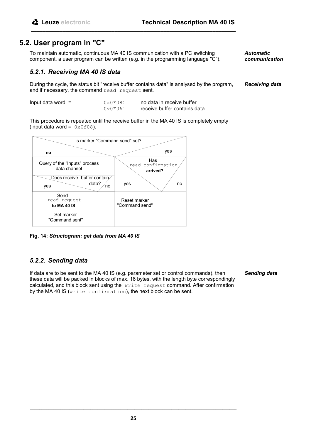## **5.2. User program in "C"**

To maintain automatic, continuous MA 40 IS communication with a PC switching component, a user program can be written (e.g. in the programming language "C").

**\_\_\_\_\_\_\_\_\_\_\_\_\_\_\_\_\_\_\_\_\_\_\_\_\_\_\_\_\_\_\_\_\_\_\_\_\_\_\_\_\_\_\_\_\_\_\_\_\_\_\_\_\_\_\_\_\_\_\_\_\_\_\_\_\_\_\_\_\_\_\_**

*Automatic communication*

## *5.2.1. Receiving MA 40 IS data*

During the cycle, the status bit "receive buffer contains data" is analysed by the program, and if necessary, the command read request sent. *Receiving data*

| Input data word $=$ | $0 \times 0 F08$     | no data in receive buffer    |
|---------------------|----------------------|------------------------------|
|                     | $0 \times 0$ $F0A$ : | receive buffer contains data |

This procedure is repeated until the receive buffer in the MA 40 IS is completely empty (input data word =  $0 \times 0 08$ ).



**Fig. 14:** *Structogram: get data from MA 40 IS*

## *5.2.2. Sending data*

If data are to be sent to the MA 40 IS (e.g. parameter set or control commands), then these data will be packed in blocks of max. 16 bytes, with the length byte correspondingly calculated, and this block sent using the write request command. After confirmation by the MA 40 IS (write confirmation), the next block can be sent.

*Sending data*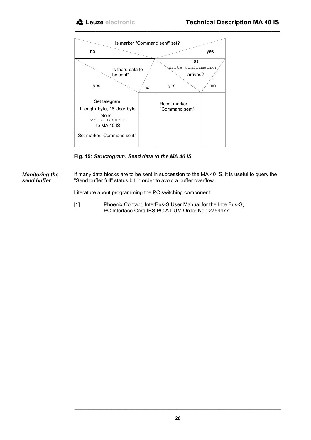

**Fig. 15:** *Structogram: Send data to the MA 40 IS*

If many data blocks are to be sent in succession to the MA 40 IS, it is useful to query the "Send buffer full" status bit in order to avoid a buffer overflow. *Monitoring the send buffer*

Literature about programming the PC switching component:

[1] Phoenix Contact, InterBus-S User Manual for the InterBus-S, PC Interface Card IBS PC AT UM Order No.: 2754477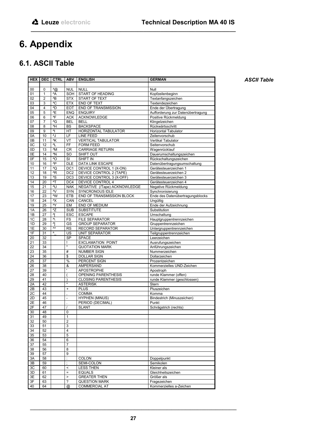# **6. Appendix**

## **6.1. ASCII Table**

| <b>HEX</b> | <b>DEC</b> | <b>CTRL</b> | <b>ABV</b>               | <b>ENGLISH</b>                               | <b>GERMAN</b>                                             |
|------------|------------|-------------|--------------------------|----------------------------------------------|-----------------------------------------------------------|
|            |            |             |                          |                                              |                                                           |
| 00         | 0          | $\alpha$    | <b>NUL</b>               | <b>NULL</b>                                  | Null                                                      |
| 01         | 1          | ۸A          | SOH                      | START OF HEADING                             | Kopfzeilenbeginn                                          |
| 02         | 2          | ^B          | STX                      | START OF TEXT                                | Textanfangszeichen                                        |
| 03         | 3          | ^C          | <b>ETX</b>               | END OF TEXT                                  | Textendezeichen                                           |
| 04<br>05   | 4<br>5     | ^D<br>^E    | <b>EOT</b><br><b>ENQ</b> | <b>END OF TRANSMISSION</b><br><b>ENQUIRY</b> | Ende der Übertragung<br>Aufforderung zur Datenübertragung |
| 06         | 6          | ^F          | <b>ACK</b>               | <b>ACKNOWLEDGE</b>                           | Positive Rückmeldung                                      |
| 07         | 7          | ^G          | <b>BEL</b>               | <b>BELL</b>                                  | Klingelzeichen                                            |
| 08         | 8          | ^H          | BS                       | <b>BACKSPACE</b>                             | Rückwärtsschritt                                          |
| 09         | 9          | 시           | HT                       | HORIZONTAL TABULATOR                         | <b>Horizontal Tabulator</b>                               |
| 0A         | 10         | λJ          | LF                       | <b>LINE FEED</b>                             | Zeilenvorschub                                            |
| 0B         | 11         | ٨K          | VT                       | <b>VERTICAL TABULATOR</b>                    | Vertikal Tabulator                                        |
| 0C         | 12         | ^L          | FF                       | <b>FORM FEED</b>                             | Seitenvorschub                                            |
| 0D         | 13         | ^M          | CR                       | <b>CARRIAGE RETURN</b>                       | Wagenrücklauf                                             |
| 0E         | 14         | ^N<br>^O    | <b>SO</b>                | SHIFT OUT<br>SHIFT IN                        | Dauerumschaltungszeichen                                  |
| 0F<br>10   | 15<br>16   | ٨P          | SI<br><b>DLE</b>         | DATA LINK ESCAPE                             | Rückschaltungszeichen<br>Datenübertragungsumschaltung     |
| 11         | 17         | ^Q          | DC <sub>1</sub>          | DEVICE CONTROL 1 (X-ON)                      | Gerätesteuerzeichen 1                                     |
| 12         | 18         | ٨R          | DC <sub>2</sub>          | DEVICE CONTROL 2 (TAPE)                      | Gerätesteuerzeichen 2                                     |
| 13         | 19         | ^S          | DC <sub>3</sub>          | DEVICE CONTROL 3 (X-OFF)                     | Gerätesteuerzeichen 3                                     |
| 14         | 20         | ^T          | DC4                      | DEVICE CONTROL 4                             | Gerätesteuerzeichen 4                                     |
| 15         | 21         | ^U          | <b>NAK</b>               | NEGATIVE (/Tape) ACKNOWLEDGE                 | Negative Rückmeldung                                      |
| 16         | 22         | ^V          | <b>SYN</b>               | SYNCRONOUS IDLE                              | Synchronisierung                                          |
| 17         | 23         | ^W          | <b>ETB</b>               | END OF TRANSMISSION BLOCK                    | Ende des Datenübertragungsblocks                          |
| 18         | 24         | ٨X          | CAN                      | CANCEL                                       | Ungültig                                                  |
| 19         | 25         | ٨Y          | EM                       | END OF MEDIUM                                | Ende der Aufzeichnung                                     |
| 1A         | 26         | ٨Z          | SUB                      | <b>SUBSTITUTE</b>                            | Substitution                                              |
| 1B         | 27         | ^ſ          | <b>ESC</b>               | <b>ESCAPE</b>                                | Umschaltung                                               |
| 1C         | 28         | $\sqrt{ }$  | FS                       | <b>FILE SEPARATOR</b>                        | Hauptgruppentrennzeichen                                  |
| 1D         | 29         | ^]<br>W     | GS                       | <b>GROUP SEPARATOR</b>                       | Gruppentrennzeichen                                       |
| 1E         | 30         | ٨           | <b>RS</b>                | RECORD SEPARATOR                             | Untergruppentrennzeichen                                  |
| 1F<br>20   | 31<br>32   |             | US<br>SP                 | <b>UNIT SEPARATOR</b><br><b>SPACE</b>        | Teilgruppentrennzeichen<br>Leerzeichen                    |
| 21         | 33         |             | Î                        | <b>EXCLAMATION POINT</b>                     | Ausrufungszeichen                                         |
| 22         | 34         |             | $\pmb{\mathfrak{m}}$     | <b>QUOTATION MARK</b>                        | Anführungszeichen                                         |
| 23         | 35         |             | $\#$                     | NUMBER SIGN                                  | Nummerzeichen                                             |
| 24         | 36         |             | \$                       | <b>DOLLAR SIGN</b>                           | Dollarzeichen                                             |
| 25         | 37         |             | %                        | PERCENT SIGN                                 | Prozentzeichen                                            |
| 26         | 38         |             | &                        | AMPERSAND                                    | Kommerzielles UND-Zeichen                                 |
| 27         | 39         |             | ٠                        | <b>APOSTROPHE</b>                            | Apostroph                                                 |
| 28         | 40         |             |                          | OPENING PARENTHESIS                          | runde Klammer (offen)                                     |
| 29         | 41         |             | ١                        | <b>CLOSING PARENTHESIS</b>                   | runde Klammer (geschlossen)                               |
| 2A         | 42         |             | $\star$                  | <b>ASTERISK</b>                              | Stern                                                     |
| 2B         | 43         |             | $\ddot{}$                | <b>PLUS</b>                                  | Pluszeichen                                               |
| 2C         | 44         |             |                          | <b>COMMA</b>                                 | Komma                                                     |
| 2D<br>2E   | 45<br>46   |             | L,                       | <b>HYPHEN (MINUS)</b><br>PERIOD (DECIMAL)    | Bindestrich (Minuszeichen)<br>Punkt                       |
| 2F         | 47         |             | $\prime$                 | <b>SLANT</b>                                 | Schrägstrich (rechts)                                     |
| 30         | 48         |             | 0                        |                                              |                                                           |
| 31         | 49         |             | $\mathbf{1}$             |                                              |                                                           |
| 32         | 50         |             | 2                        |                                              |                                                           |
| 33         | 51         |             | 3                        |                                              |                                                           |
| 34         | 52         |             | 4                        |                                              |                                                           |
| 35         | 53         |             | 5                        |                                              |                                                           |
| 36         | 54         |             | 6                        |                                              |                                                           |
| 37         | 55         |             | 7                        |                                              |                                                           |
| 38         | 56         |             | 8                        |                                              |                                                           |
| 39         | 57         |             | 9                        |                                              |                                                           |
| 3A         | 58         |             | $\ddot{\phantom{a}}$     | <b>COLON</b>                                 | Doppelpunkt                                               |
| 3B         | 59         |             |                          | SEMI-COLON                                   | Semikolen                                                 |
| 3C         | 60         |             | $\,<$                    | <b>LESS THEN</b>                             | Kleiner als                                               |
| 3D<br>3E   | 61<br>62   |             | $\equiv$<br>$\mathbf{L}$ | <b>EQUALS</b><br><b>GREATER THEN</b>         | Gleichheitszeichen<br>Größer als                          |
| 3F         | 63         |             | ?                        | <b>QUESTION MARK</b>                         | Fragezeichen                                              |
| 40         | 64         |             | @                        | <b>COMMERCIAL AT</b>                         | Kommerzielles a-Zeichen                                   |
|            |            |             |                          |                                              |                                                           |

**\_\_\_\_\_\_\_\_\_\_\_\_\_\_\_\_\_\_\_\_\_\_\_\_\_\_\_\_\_\_\_\_\_\_\_\_\_\_\_\_\_\_\_\_\_\_\_\_\_\_\_\_\_\_\_\_\_\_\_\_\_\_\_\_\_\_\_\_\_\_\_**

*ASCII Table*